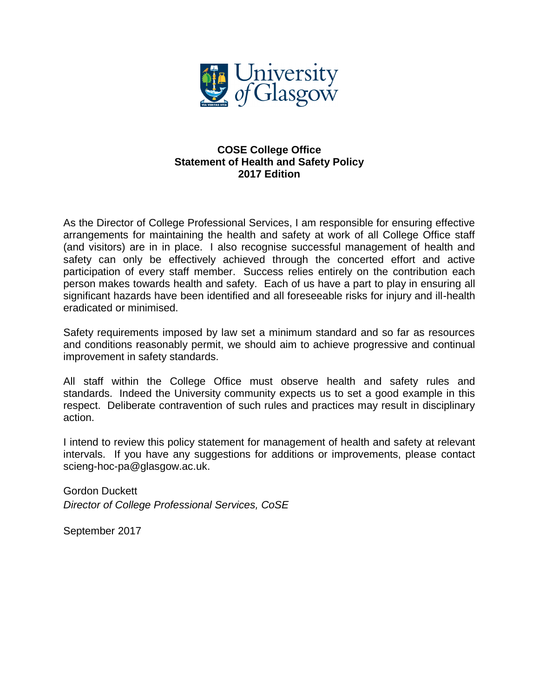

# **COSE College Office Statement of Health and Safety Policy 2017 Edition**

As the Director of College Professional Services, I am responsible for ensuring effective arrangements for maintaining the health and safety at work of all College Office staff (and visitors) are in in place. I also recognise successful management of health and safety can only be effectively achieved through the concerted effort and active participation of every staff member. Success relies entirely on the contribution each person makes towards health and safety. Each of us have a part to play in ensuring all significant hazards have been identified and all foreseeable risks for injury and ill-health eradicated or minimised.

Safety requirements imposed by law set a minimum standard and so far as resources and conditions reasonably permit, we should aim to achieve progressive and continual improvement in safety standards.

All staff within the College Office must observe health and safety rules and standards. Indeed the University community expects us to set a good example in this respect. Deliberate contravention of such rules and practices may result in disciplinary action.

I intend to review this policy statement for management of health and safety at relevant intervals. If you have any suggestions for additions or improvements, please contact scieng-hoc-pa@glasgow.ac.uk.

Gordon Duckett *Director of College Professional Services, CoSE*

September 2017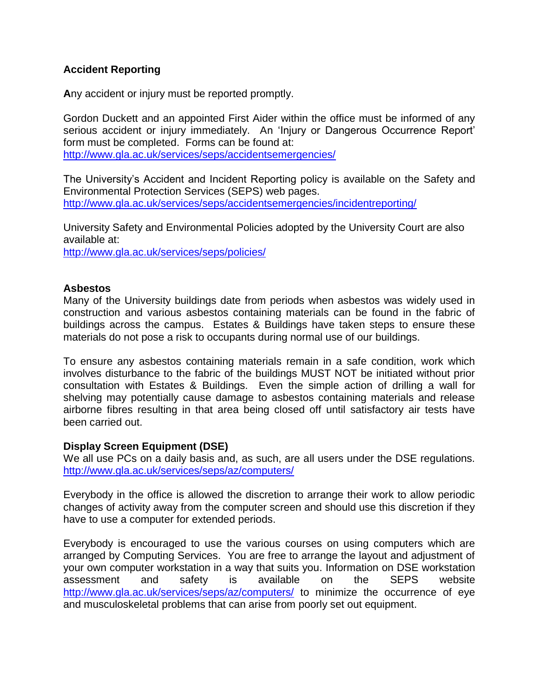# **Accident Reporting**

**A**ny accident or injury must be reported promptly.

Gordon Duckett and an appointed First Aider within the office must be informed of any serious accident or injury immediately. An 'Injury or Dangerous Occurrence Report' form must be completed. Forms can be found at: <http://www.gla.ac.uk/services/seps/accidentsemergencies/>

The University's Accident and Incident Reporting policy is available on the Safety and Environmental Protection Services (SEPS) web pages. <http://www.gla.ac.uk/services/seps/accidentsemergencies/incidentreporting/>

University Safety and Environmental Policies adopted by the University Court are also available at:

<http://www.gla.ac.uk/services/seps/policies/>

### **Asbestos**

Many of the University buildings date from periods when asbestos was widely used in construction and various asbestos containing materials can be found in the fabric of buildings across the campus. Estates & Buildings have taken steps to ensure these materials do not pose a risk to occupants during normal use of our buildings.

To ensure any asbestos containing materials remain in a safe condition, work which involves disturbance to the fabric of the buildings MUST NOT be initiated without prior consultation with Estates & Buildings. Even the simple action of drilling a wall for shelving may potentially cause damage to asbestos containing materials and release airborne fibres resulting in that area being closed off until satisfactory air tests have been carried out.

### **Display Screen Equipment (DSE)**

We all use PCs on a daily basis and, as such, are all users under the DSE regulations. <http://www.gla.ac.uk/services/seps/az/computers/>

Everybody in the office is allowed the discretion to arrange their work to allow periodic changes of activity away from the computer screen and should use this discretion if they have to use a computer for extended periods.

Everybody is encouraged to use the various courses on using computers which are arranged by Computing Services. You are free to arrange the layout and adjustment of your own computer workstation in a way that suits you. Information on DSE workstation assessment and safety is available on the SEPS website <http://www.gla.ac.uk/services/seps/az/computers/> to minimize the occurrence of eye and musculoskeletal problems that can arise from poorly set out equipment.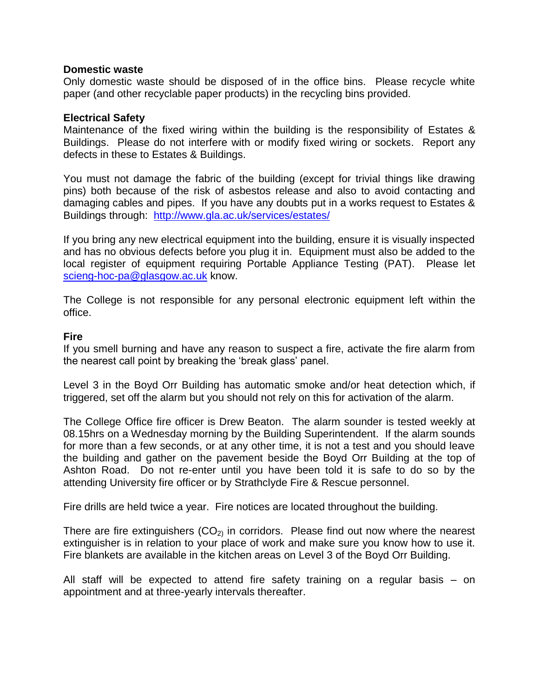### **Domestic waste**

Only domestic waste should be disposed of in the office bins. Please recycle white paper (and other recyclable paper products) in the recycling bins provided.

### **Electrical Safety**

Maintenance of the fixed wiring within the building is the responsibility of Estates & Buildings. Please do not interfere with or modify fixed wiring or sockets. Report any defects in these to Estates & Buildings.

You must not damage the fabric of the building (except for trivial things like drawing pins) both because of the risk of asbestos release and also to avoid contacting and damaging cables and pipes. If you have any doubts put in a works request to Estates & Buildings through: <http://www.gla.ac.uk/services/estates/>

If you bring any new electrical equipment into the building, ensure it is visually inspected and has no obvious defects before you plug it in. Equipment must also be added to the local register of equipment requiring Portable Appliance Testing (PAT). Please let [scieng-hoc-pa@glasgow.ac.uk](mailto:scieng-hoc-pa@glasgow.ac.uk) know.

The College is not responsible for any personal electronic equipment left within the office.

### **Fire**

If you smell burning and have any reason to suspect a fire, activate the fire alarm from the nearest call point by breaking the 'break glass' panel.

Level 3 in the Boyd Orr Building has automatic smoke and/or heat detection which, if triggered, set off the alarm but you should not rely on this for activation of the alarm.

The College Office fire officer is Drew Beaton. The alarm sounder is tested weekly at 08.15hrs on a Wednesday morning by the Building Superintendent. If the alarm sounds for more than a few seconds, or at any other time, it is not a test and you should leave the building and gather on the pavement beside the Boyd Orr Building at the top of Ashton Road. Do not re-enter until you have been told it is safe to do so by the attending University fire officer or by Strathclyde Fire & Rescue personnel.

Fire drills are held twice a year. Fire notices are located throughout the building.

There are fire extinguishers  $(CO<sub>2</sub>)$  in corridors. Please find out now where the nearest extinguisher is in relation to your place of work and make sure you know how to use it. Fire blankets are available in the kitchen areas on Level 3 of the Boyd Orr Building.

All staff will be expected to attend fire safety training on a regular basis – on appointment and at three-yearly intervals thereafter.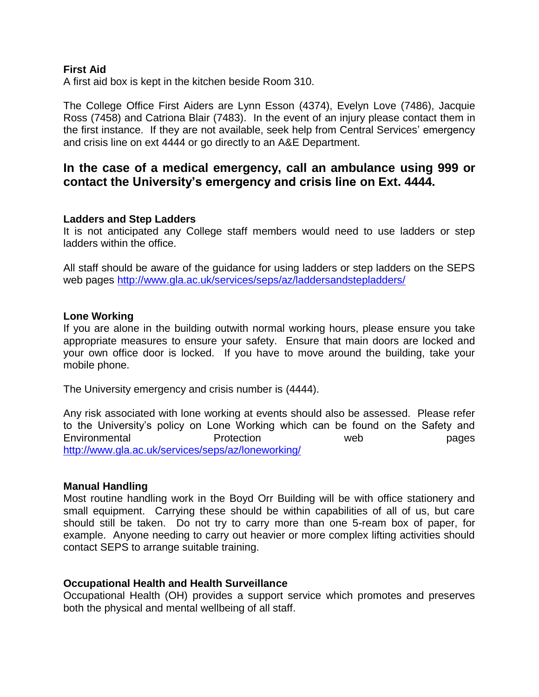### **First Aid**

A first aid box is kept in the kitchen beside Room 310.

The College Office First Aiders are Lynn Esson (4374), Evelyn Love (7486), Jacquie Ross (7458) and Catriona Blair (7483). In the event of an injury please contact them in the first instance. If they are not available, seek help from Central Services' emergency and crisis line on ext 4444 or go directly to an A&E Department.

# **In the case of a medical emergency, call an ambulance using 999 or contact the University's emergency and crisis line on Ext. 4444.**

#### **Ladders and Step Ladders**

It is not anticipated any College staff members would need to use ladders or step ladders within the office.

All staff should be aware of the guidance for using ladders or step ladders on the SEPS web pages<http://www.gla.ac.uk/services/seps/az/laddersandstepladders/>

#### **Lone Working**

If you are alone in the building outwith normal working hours, please ensure you take appropriate measures to ensure your safety. Ensure that main doors are locked and your own office door is locked. If you have to move around the building, take your mobile phone.

The University emergency and crisis number is (4444).

Any risk associated with lone working at events should also be assessed. Please refer to the University's policy on Lone Working which can be found on the Safety and Environmental Protection web pages <http://www.gla.ac.uk/services/seps/az/loneworking/>

### **Manual Handling**

Most routine handling work in the Boyd Orr Building will be with office stationery and small equipment. Carrying these should be within capabilities of all of us, but care should still be taken. Do not try to carry more than one 5-ream box of paper, for example. Anyone needing to carry out heavier or more complex lifting activities should contact SEPS to arrange suitable training.

### **Occupational Health and Health Surveillance**

Occupational Health (OH) provides a support service which promotes and preserves both the physical and mental wellbeing of all staff.